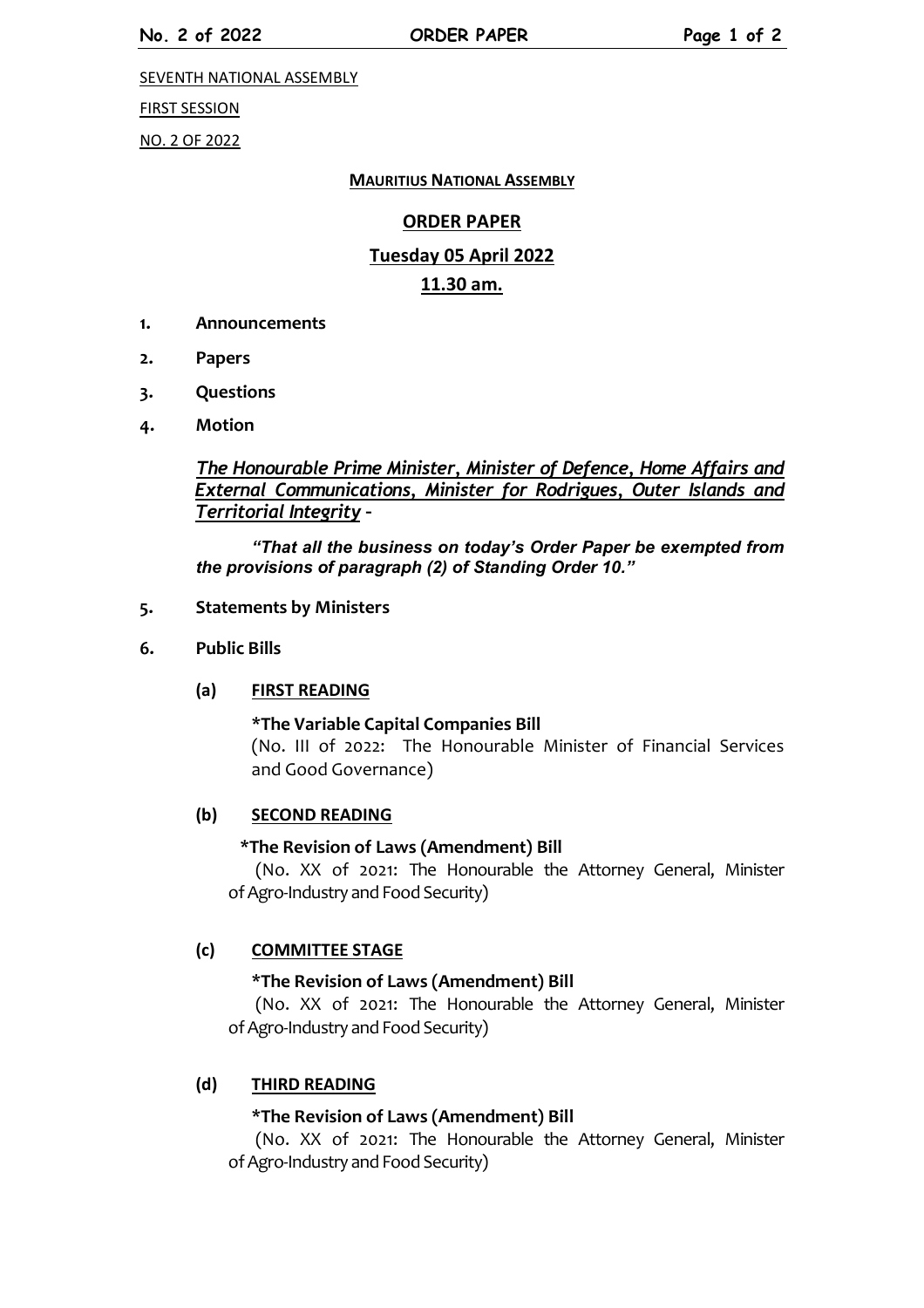SEVENTH NATIONAL ASSEMBLY

FIRST SESSION

NO. 2 OF 2022

#### **MAURITIUS NATIONAL ASSEMBLY**

### **ORDER PAPER**

# **Tuesday 05 April 2022 11.30 am.**

- **1. Announcements**
- **2. Papers**
- **3. Questions**
- **4. Motion**

*The Honourable Prime Minister, Minister of Defence, Home Affairs and External Communications, Minister for Rodrigues, Outer Islands and Territorial Integrity –*

*"That all the business on today's Order Paper be exempted from the provisions of paragraph (2) of Standing Order 10."*

#### **5. Statements by Ministers**

**6. Public Bills**

### **(a) FIRST READING**

#### **\*The Variable Capital Companies Bill**

(No. III of 2022: The Honourable Minister of Financial Services and Good Governance)

#### **(b) SECOND READING**

### **\*The Revision of Laws (Amendment) Bill**

(No. XX of 2021: The Honourable the Attorney General, Minister of Agro-Industry and Food Security)

### **(c) COMMITTEE STAGE**

#### **\*The Revision of Laws (Amendment) Bill**

(No. XX of 2021: The Honourable the Attorney General, Minister of Agro-Industry and Food Security)

### **(d) THIRD READING**

### **\*The Revision of Laws (Amendment) Bill**

(No. XX of 2021: The Honourable the Attorney General, Minister of Agro-Industry and Food Security)